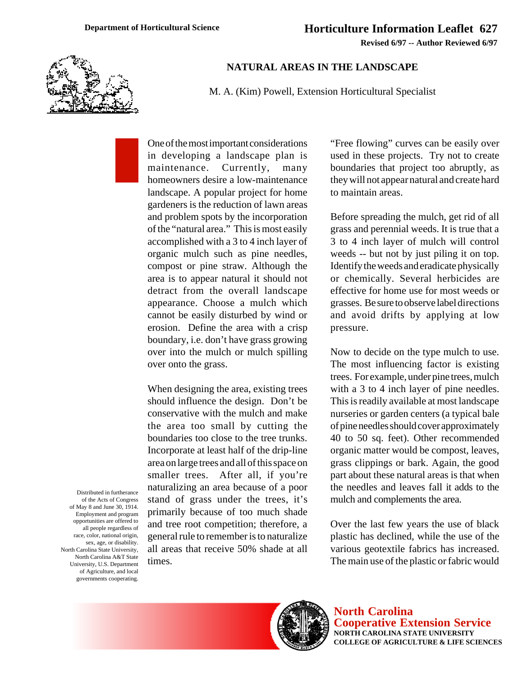**Revised 6/97 -- Author Reviewed 6/97**



## **NATURAL AREAS IN THE LANDSCAPE**

M. A. (Kim) Powell, Extension Horticultural Specialist

One of the most important considerations in developing a landscape plan is maintenance. Currently, many homeowners desire a low-maintenance landscape. A popular project for home gardeners is the reduction of lawn areas and problem spots by the incorporation of the "natural area." This is most easily accomplished with a 3 to 4 inch layer of organic mulch such as pine needles, compost or pine straw. Although the area is to appear natural it should not detract from the overall landscape appearance. Choose a mulch which cannot be easily disturbed by wind or erosion. Define the area with a crisp boundary, i.e. don't have grass growing over into the mulch or mulch spilling over onto the grass.

When designing the area, existing trees should influence the design. Don't be conservative with the mulch and make the area too small by cutting the boundaries too close to the tree trunks. Incorporate at least half of the drip-line area on large trees and all of this space on smaller trees. After all, if you're naturalizing an area because of a poor stand of grass under the trees, it's primarily because of too much shade and tree root competition; therefore, a general rule to remember is to naturalize all areas that receive 50% shade at all times.

"Free flowing" curves can be easily over used in these projects. Try not to create boundaries that project too abruptly, as they will not appear natural and create hard to maintain areas.

Before spreading the mulch, get rid of all grass and perennial weeds. It is true that a 3 to 4 inch layer of mulch will control weeds -- but not by just piling it on top. Identify the weeds and eradicate physically or chemically. Several herbicides are effective for home use for most weeds or grasses. Be sure to observe label directions and avoid drifts by applying at low pressure.

Now to decide on the type mulch to use. The most influencing factor is existing trees. For example, under pine trees, mulch with a 3 to 4 inch layer of pine needles. This is readily available at most landscape nurseries or garden centers (a typical bale of pine needles should cover approximately 40 to 50 sq. feet). Other recommended organic matter would be compost, leaves, grass clippings or bark. Again, the good part about these natural areas is that when the needles and leaves fall it adds to the mulch and complements the area.

Over the last few years the use of black plastic has declined, while the use of the various geotextile fabrics has increased. The main use of the plastic or fabric would

Distributed in furtherance of the Acts of Congress of May 8 and June 30, 1914. Employment and program opportunities are offered to all people regardless of race, color, national origin, sex, age, or disability. North Carolina State University, North Carolina A&T State University, U.S. Department of Agriculture, and local governments cooperating.



**North Carolina Cooperative Extension Service NORTH CAROLINA STATE UNIVERSITY COLLEGE OF AGRICULTURE & LIFE SCIENCES**